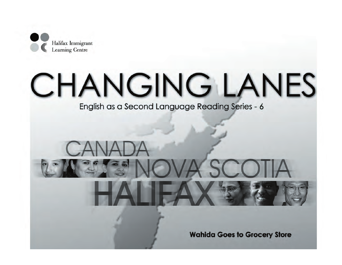

# **CHANGING LANES**

English as a Second Language Reading Series - 6

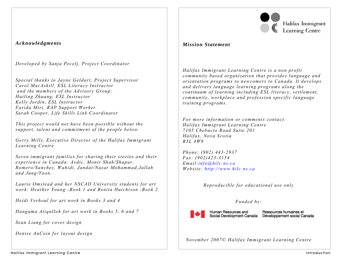

Halifax Immigrant **Learning Centre** 

## *Acknowledgments*

*Developed by Sanja Pecelj, Project Coordinator* 

*Special thanks to Jayne Geldart, Project Supervisor Carol MacAskill, ESL Literacy Instructor and the members of the Advisory Group: Huiling Zhuang, ESL Instructor Kelly Jordin, ESL Instructor Farida Miri, RAP Support Worker Sarah Cooper, Life Skills Link Coordinator* 

*This project would not have been possible without the support, talent and commitment of the people below.* 

*Gerry Mills, Executive Director of the Halifax Immigrant Learning Centre* 

*Seven immigrant families for sharing their stories and their experience in Canada: Avdic, Monir Shah/Shapur, Romero/Sanchez, Wahidi, Jandat/Nazar Mohammad,Jallah and Jung/Yoon.* 

*Laurie Omstead and her NSCAD University students for art work: Heather Young -Book 1 and Benita Hutchison -Book 2.* 

*Heidi Verhoul for art work in Books 3 and 4* 

*Hangama Atiqulloh for art work in Books 5, 6 and 7* 

*Sean Liang for cover design* 

*Denise AuCoin for layout design* 

## *Mission Statement*

*Halifax Immigrant Learning Centre is a non profit community based organization that provides language and orientation programs to newcomers to Canada. It develops and delivers language learning programs along the continuum of learning including ESL literacy, settlement, community, workplace and profession specific language training programs.* 

*For more information or comments contact: Halifax Immigrant Learning Centre 7105 Chebucto Road Suite 201 Halifax, Nova Scotia B3L 4W8* 

*Phone: (902) 443-2937 Fax: (902)423-3154 Email:info@hilc.ns.ca Website: http://www.hilc.ns.ca* 

*Reproducible for educational use only* 

## *Funded by:*



Human Resources and

Ressources humaines et Social Development Canada Développement social Canada

*November 2007© Halifax Immigrant Learning Centre*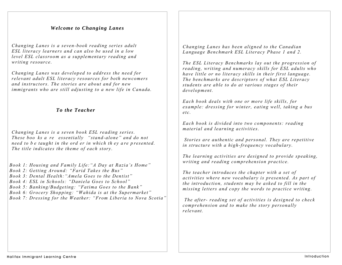## *Welcome to Changing Lanes*

*Changing Lanes is a seven-book reading series adult ESL literacy learners and can also be used in a low level ESL classroom as a supplementary reading and writing resource.* 

*Changing Lanes was developed to address the need for relevant adult ESL literacy resources for both newcomers and instructors. The stories are about and for new immigrants who are still adjusting to a new life in Canada.* 

#### *To the Teacher*

*Changing Lanes is a seven book ESL reading series. These boo ks a re essentially "stand-alone" and do not need to be taught in the ord er in which they are presented. The title indicates the theme of each story.* 

 *Book 1: Housing and Family Life:"A Day at Razia's Home"* 

 *Book 2: Getting Around: "Farid Takes the Bus"* 

 *Book 3: Dental Health:"Amela Goes to the Dentist"* 

 *Book 4: ESL in Schools: "Daniela Goes to School"* 

 *Book 5: Banking/Budgeting: "Fatima Goes to the Bank"* 

 *Book 6: Grocery Shopping: "Wahida is at the Supermarket"* 

 *Book 7: Dressing for the Weather: "From Liberia to Nova Scotia"*

*Changing Lanes has been aligned to the Canadian Language Benchmark ESL Literacy Phase 1 and 2.* 

*The ESL Literacy Benchmarks lay out the progression of reading, writing and numeracy skills for ESL adults who have little or no literacy skills in their first language. The benchmarks are descriptors of what ESL Literacy students are able to do at various stages of their development.* 

*Each book deals with one or more life skills, for example: dressing for winter, eating well, taking a bus etc.* 

*Each book is divided into two components: reading material and learning activities.* 

 *Stories are authentic and personal. They are repetitive in structure with a high-frequency vocabulary.* 

*The learning activities are designed to provide speaking, writing and reading comprehension practice.* 

*The teacher introduces the chapter with a set of activities where new vocabulary is presented. As part of the introduction, students may be asked to fill in the missing letters and copy the words to practice writing.* 

 *The after- reading set of activities is designed to check comprehension and to make the story personally relevant.*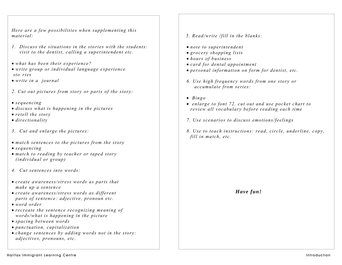*Here are a few possibilities when supplementing this material:* 

- *1. Discuss the situations in the stories with the students: visit to the dentist, calling a superintendent etc.*
- *what has been their experience?*
- *write group or individual language experience sto ries*
- *write in a journal*
- *2. Cut out pictures from story or parts of the story:*
- *sequencing*
- *discuss what is happening in the pictures*
- *retell the story*
- *directionality*
- *3. Cut and enlarge the pictures:*
- *match sentences to the pictures from the story*
- *sequencing*
- *match to reading by teacher or taped story (individual or group)*
- *4. Cut sentences into words:*
- *create awareness/stress words as parts that make up a sentence*
- *create awareness/stress words as different parts of sentence: adjective, pronoun etc.*
- *word order*
- *recreate the sentence recognizing meaning of words/what is happening in the picture*
- *spacing between words*
- *punctuation, capitalization*
- *change sentences by adding words not in the story: adjectives, pronouns, etc.*
- *5. Read/write /fill in the blanks:*
- *note to superintendent*
- *grocery shopping lists*
- *hours of business*
- *card for dental appointment*
- *personal information on form for dentist, etc.*
- *6. Use high frequency words from one story or accumulate from series:*
- • *Bingo*
- • *enlarge to font 72, cut out and use pocket chart to review all vocabulary before reading each time*
- *7. Use scenarios to discuss emotions/feelings*
- *8. Use to teach instructions: read, circle, underline, copy, fill in match, etc.*

*Have fun!*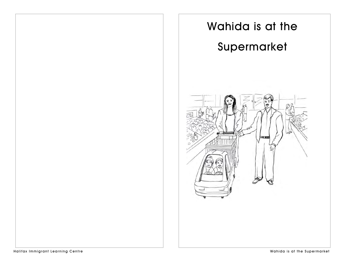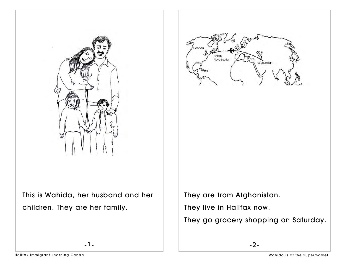



This is Wahida, her husband and her children. They are her family.

-1-

They are from Afghanistan. They live in Halifax now.

They go grocery shopping on Saturday.

-2-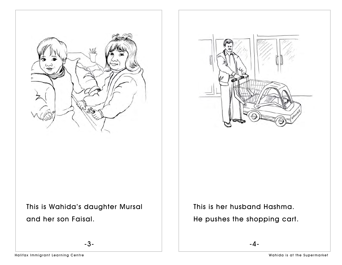



This is Wahida's daughter Mursal and her son Faisal.

-3-

This is her husband Hashma. He pushes the shopping cart.

-4-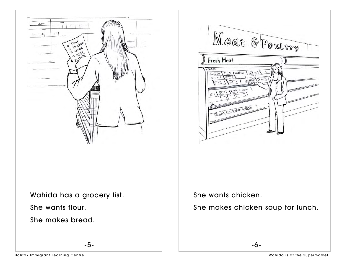

-5-

She makes bread.

She wants chicken.

Fresh Meat

dicken

She makes chicken soup for lunch.

Meat & Poultry

 $\widehat{a}$ 

-6-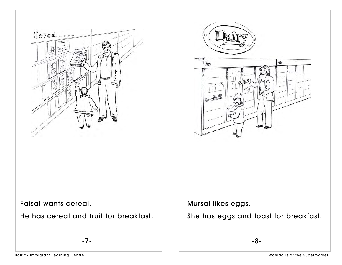

He has cereal and fruit for breakfast.



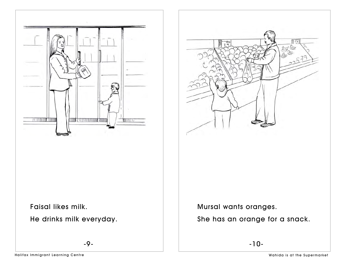



Faisal likes milk.

He drinks milk everyday.

-9-

Mursal wants oranges.

She has an orange for a snack.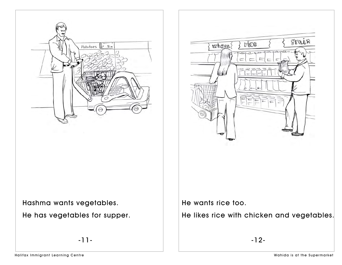



He has vegetables for supper.

-11-

Frain rice where

He wants rice too.

He likes rice with chicken and vegetables.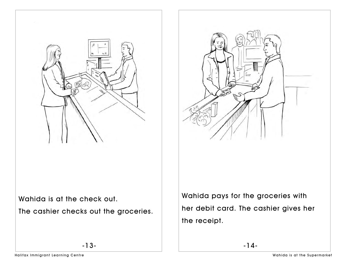



Wahida is at the check out.

The cashier checks out the groceries.

Wahida pays for the groceries with her debit card. The cashier gives her the receipt.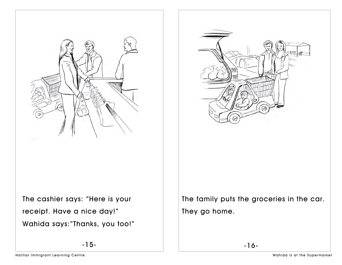



Wahida says:"Thanks, you too!"

The family puts the groceries in the car. They go home.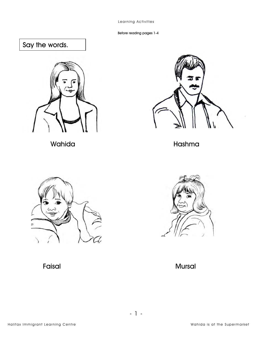Before reading pages 1-4

# Say the words.





Wahida **Manazarta Kashma** Hashma





Faisal Mursal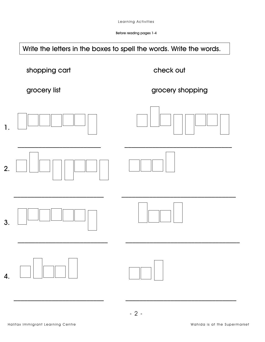Before reading pages 1-4



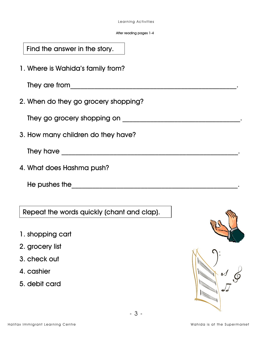After reading pages 1-4

| Find the answer in the story. |  |
|-------------------------------|--|
|                               |  |

1. Where is Wahida's family from?

They are from\_\_\_\_\_\_\_\_\_\_\_\_\_\_\_\_\_\_\_\_\_\_\_\_\_\_\_\_\_\_\_\_\_\_\_\_\_\_\_\_\_\_\_\_\_\_\_\_.

2. When do they go grocery shopping?

They go grocery shopping on \_\_\_\_\_\_\_\_\_\_\_\_\_\_\_\_\_\_\_\_\_\_\_\_\_\_\_\_\_\_\_\_\_\_.

3. How many children do they have?

They have \_\_\_\_\_\_\_\_\_\_\_\_\_\_\_\_\_\_\_\_\_\_\_\_\_\_\_\_\_\_\_\_\_\_\_\_\_\_\_\_\_\_\_\_\_\_\_\_\_\_\_.

4. What does Hashma push?

He pushes the\_\_\_\_\_\_\_\_\_\_\_\_\_\_\_\_\_\_\_\_\_\_\_\_\_\_\_\_\_\_\_\_\_\_\_\_\_\_\_\_\_\_\_\_\_\_\_\_.

Repeat the words quickly (chant and clap).

- 1. shopping cart
- 2. grocery list
- 3. check out
- 4. cashier
- 5. debit card



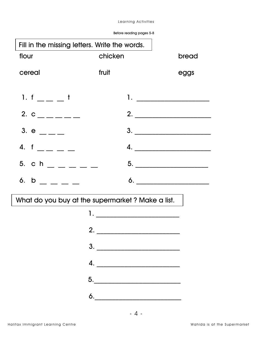| Before reading pages 5-8 |
|--------------------------|
|                          |

| Fill in the missing letters. Write the words. |                                                                                                                                      |                                                                                                                                                                                                                                                                                                                                                                                                                         |
|-----------------------------------------------|--------------------------------------------------------------------------------------------------------------------------------------|-------------------------------------------------------------------------------------------------------------------------------------------------------------------------------------------------------------------------------------------------------------------------------------------------------------------------------------------------------------------------------------------------------------------------|
| flour                                         | chicken                                                                                                                              | bread                                                                                                                                                                                                                                                                                                                                                                                                                   |
| cereal                                        | fruit                                                                                                                                | eggs                                                                                                                                                                                                                                                                                                                                                                                                                    |
| 1. $f =  t$                                   |                                                                                                                                      |                                                                                                                                                                                                                                                                                                                                                                                                                         |
| 2. $c_{\frac{1}{2}} = 0$                      |                                                                                                                                      |                                                                                                                                                                                                                                                                                                                                                                                                                         |
| 3. $e$ __ _ _                                 |                                                                                                                                      | $\begin{array}{c c c c c} \hline \textbf{3.} & \textcolor{red}{\textbf{1.} & \textbf{1.} & \textbf{1.} \\ \hline \textbf{1.} & \textbf{1.} & \textbf{1.} & \textbf{1.} \\ \hline \textbf{2.} & \textbf{1.} & \textbf{1.} & \textbf{1.} \\ \hline \textbf{3.} & \textbf{1.} & \textbf{1.} & \textbf{1.} \\ \hline \textbf{4.} & \textbf{1.} & \textbf{1.} & \textbf{1.} \\ \hline \textbf{5.} & \textbf{1.} & \textbf{1$ |
| 4. $f = -$                                    |                                                                                                                                      | 4. $\qquad \qquad$                                                                                                                                                                                                                                                                                                                                                                                                      |
| 5. c h $   -$                                 |                                                                                                                                      |                                                                                                                                                                                                                                                                                                                                                                                                                         |
| 6. $b$ _ _ _ _                                |                                                                                                                                      | $\bullet$ .                                                                                                                                                                                                                                                                                                                                                                                                             |
|                                               | What do you buy at the supermarket? Make a list.                                                                                     |                                                                                                                                                                                                                                                                                                                                                                                                                         |
|                                               | 1. _______________________________                                                                                                   |                                                                                                                                                                                                                                                                                                                                                                                                                         |
|                                               | 2.                                                                                                                                   |                                                                                                                                                                                                                                                                                                                                                                                                                         |
|                                               | 3.                                                                                                                                   |                                                                                                                                                                                                                                                                                                                                                                                                                         |
|                                               | 4.                                                                                                                                   |                                                                                                                                                                                                                                                                                                                                                                                                                         |
|                                               | $\begin{array}{c c c c} \hline \rule{0pt}{2ex}5. & \rule{0pt}{2ex} \multicolumn{2}{2}{\textbf{\textcolor{red}{\bf{5}}}} \end{array}$ |                                                                                                                                                                                                                                                                                                                                                                                                                         |
|                                               | $\begin{array}{c}\n6. \\ \hline\n\end{array}$                                                                                        |                                                                                                                                                                                                                                                                                                                                                                                                                         |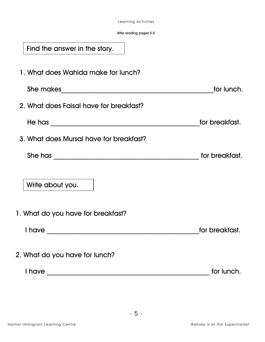#### After reading pages 5-8

| Find the answer in the story.           |                |
|-----------------------------------------|----------------|
| 1. What does Wahida make for lunch?     |                |
|                                         | for lunch.     |
| 2. What does Faisal have for breakfast? |                |
|                                         | for breakfast. |
| 3. What does Mursal have for breakfast? |                |
|                                         | for breakfast. |
| Write about you.                        |                |
| 1. What do you have for breakfast?      |                |
| I have                                  | for breakfast. |
| 2. What do you have for lunch?          |                |
|                                         | for lunch.     |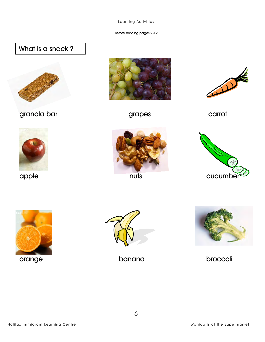#### Before reading pages 9-12

## What is a snack?



granola bar di grapes de carrot















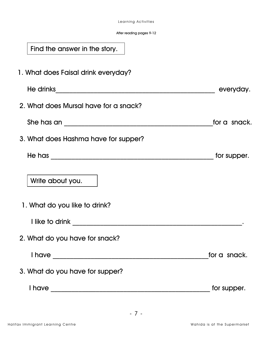After reading pages 9-12

| Find the answer in the story.                                                                                                         |              |
|---------------------------------------------------------------------------------------------------------------------------------------|--------------|
| 1. What does Faisal drink everyday?                                                                                                   |              |
|                                                                                                                                       | everyday.    |
| 2. What does Mursal have for a snack?                                                                                                 |              |
|                                                                                                                                       | for a snack. |
| 3. What does Hashma have for supper?                                                                                                  |              |
|                                                                                                                                       | for supper.  |
| Write about you.                                                                                                                      |              |
| 1. What do you like to drink?                                                                                                         |              |
|                                                                                                                                       |              |
| 2. What do you have for snack?                                                                                                        |              |
|                                                                                                                                       | for a snack. |
| 3. What do you have for supper?                                                                                                       |              |
| <b>I</b> have<br><u> 2000 - 2000 - 2000 - 2000 - 2000 - 2000 - 2000 - 2000 - 2000 - 2000 - 2000 - 2000 - 2000 - 2000 - 2000 - 200</u> | for supper.  |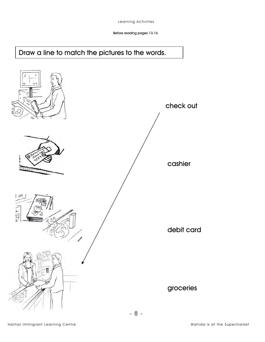## Draw a line to match the pictures to the words.

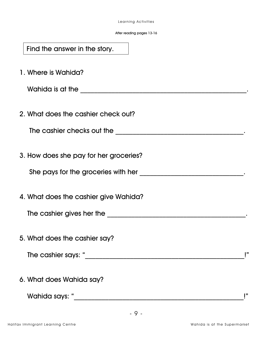After reading pages 13-16

| Find the answer in the story.          |    |
|----------------------------------------|----|
| 1. Where is Wahida?                    |    |
|                                        |    |
| 2. What does the cashier check out?    |    |
| The cashier checks out the             |    |
| 3. How does she pay for her groceries? |    |
| She pays for the groceries with her    |    |
| 4. What does the cashier give Wahida?  |    |
| The cashier gives her the              |    |
| 5. What does the cashier say?          |    |
|                                        | ₽. |
| 6. What does Wahida say?               |    |
| Wahida says: "                         |    |